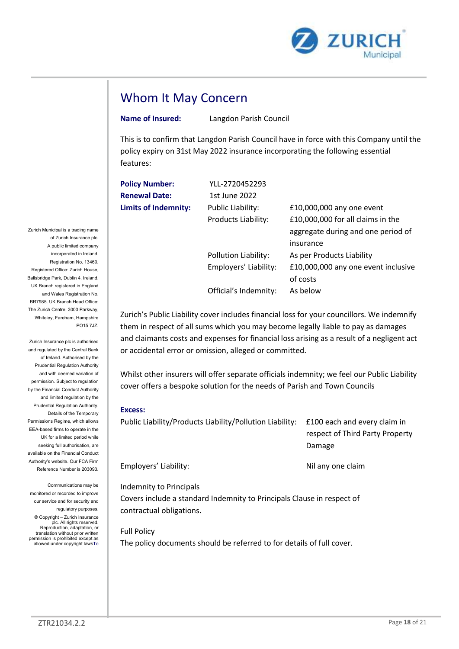

# Whom It May Concern

| <b>Whom It May Concern</b>  |                        |                                                                                                                                                                            |  |
|-----------------------------|------------------------|----------------------------------------------------------------------------------------------------------------------------------------------------------------------------|--|
| <b>Name of Insured:</b>     | Langdon Parish Council |                                                                                                                                                                            |  |
| features:                   |                        | This is to confirm that Langdon Parish Council have in force with this Company until the<br>policy expiry on 31st May 2022 insurance incorporating the following essential |  |
|                             |                        |                                                                                                                                                                            |  |
| <b>Policy Number:</b>       | YLL-2720452293         |                                                                                                                                                                            |  |
| <b>Renewal Date:</b>        | 1st June 2022          |                                                                                                                                                                            |  |
| <b>Limits of Indemnity:</b> | Public Liability:      | £10,000,000 any one event                                                                                                                                                  |  |
|                             | Products Liability:    | £10,000,000 for all claims in the                                                                                                                                          |  |
|                             |                        | aggregate during and one period of                                                                                                                                         |  |
|                             |                        | insurance                                                                                                                                                                  |  |
|                             | Pollution Liability:   | As per Products Liability                                                                                                                                                  |  |
|                             | Employers' Liability:  | £10,000,000 any one event inclusive<br>of costs                                                                                                                            |  |

### Excess:

|                                |                                                                                                                                     | aggregate during and one period of                                                                                                                                                                                                                                                                                                                                           |  |
|--------------------------------|-------------------------------------------------------------------------------------------------------------------------------------|------------------------------------------------------------------------------------------------------------------------------------------------------------------------------------------------------------------------------------------------------------------------------------------------------------------------------------------------------------------------------|--|
|                                |                                                                                                                                     | insurance                                                                                                                                                                                                                                                                                                                                                                    |  |
|                                | Pollution Liability:                                                                                                                | As per Products Liability                                                                                                                                                                                                                                                                                                                                                    |  |
|                                | Employers' Liability:                                                                                                               | £10,000,000 any one event inclusive                                                                                                                                                                                                                                                                                                                                          |  |
|                                |                                                                                                                                     | of costs                                                                                                                                                                                                                                                                                                                                                                     |  |
|                                | Official's Indemnity:                                                                                                               | As below                                                                                                                                                                                                                                                                                                                                                                     |  |
|                                | or accidental error or omission, alleged or committed.<br>cover offers a bespoke solution for the needs of Parish and Town Councils | Zurich's Public Liability cover includes financial loss for your councillors. We indemnify<br>them in respect of all sums which you may become legally liable to pay as damages<br>and claimants costs and expenses for financial loss arising as a result of a negligent act<br>Whilst other insurers will offer separate officials indemnity; we feel our Public Liability |  |
| <b>Excess:</b>                 |                                                                                                                                     |                                                                                                                                                                                                                                                                                                                                                                              |  |
|                                | Public Liability/Products Liability/Pollution Liability:                                                                            | £100 each and every claim in<br>respect of Third Party Property<br>Damage                                                                                                                                                                                                                                                                                                    |  |
| Employers' Liability:          |                                                                                                                                     | Nil any one claim                                                                                                                                                                                                                                                                                                                                                            |  |
| <b>Indemnity to Principals</b> |                                                                                                                                     |                                                                                                                                                                                                                                                                                                                                                                              |  |
| contractual obligations.       | Covers include a standard Indemnity to Principals Clause in respect of                                                              |                                                                                                                                                                                                                                                                                                                                                                              |  |
|                                |                                                                                                                                     |                                                                                                                                                                                                                                                                                                                                                                              |  |

Full Policy

The policy documents should be referred to for details of full cover.

Zurich Municipal is a trading name of Zurich Insurance plc. A public limited company incorporated in Ireland. Registration No. 13460. Registered Office: Zurich House, Ballsbridge Park, Dublin 4, Ireland. UK Branch registered in England and Wales Registration No. BR7985. UK Branch Head Office: The Zurich Centre, 3000 Parkway, Whiteley, Fareham, Hampshire PO15 7JZ.

Zurich Insurance plc is authorised and regulated by the Central Bank of Ireland. Authorised by the Prudential Regulation Authority and with deemed variation of permission. Subject to regulation by the Financial Conduct Authority and limited regulation by the Prudential Regulation Authority. Details of the Temporary Permissions Regime, which allows EEA-based firms to operate in the UK for a limited period while seeking full authorisation, are available on the Financial Conduct Authority's website. Our FCA Firm Reference Number is 203093.

Communications may be monitored or recorded to improve our service and for security and regulatory purposes.

© Copyright – Zurich Insurance plc. All rights reserved. Reproduction, adaptation, or translation without prior written permission is prohibited except as allowed under copyright lawsTo